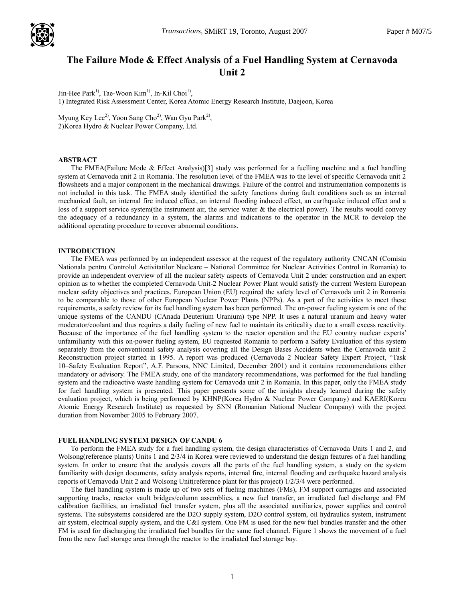

# The Failure Mode & Effect Analysis of a Fuel Handling System at Cernavoda Unit 2

Jin-Hee Park<sup>1</sup>, Tae-Woon Kim<sup>1</sup>, In-Kil Choi<sup>1</sup>, 1) Integrated Risk Assessment Center, Korea Atomic Energy Research Institute, Daejeon, Korea

Myung Key Lee<sup>2)</sup>, Yoon Sang Cho<sup>2)</sup>, Wan Gyu Park<sup>2)</sup>, 2)Korea Hydro & Nuclear Power Company, Ltd.

## ABSTRACT

The FMEA(Failure Mode & Effect Analysis)[3] study was performed for a fuelling machine and a fuel handling system at Cernavoda unit 2 in Romania. The resolution level of the FMEA was to the level of specific Cernavoda unit 2 flowsheets and a major component in the mechanical drawings. Failure of the control and instrumentation components is not included in this task. The FMEA study identified the safety functions during fault conditions such as an internal mechanical fault, an internal fire induced effect, an internal flooding induced effect, an earthquake induced effect and a loss of a support service system(the instrument air, the service water & the electrical power). The results would convey the adequacy of a redundancy in a system, the alarms and indications to the operator in the MCR to develop the additional operating procedure to recover abnormal conditions.

#### INTRODUCTION

The FMEA was performed by an independent assessor at the request of the regulatory authority CNCAN (Comisia Nationala pentru Controlul Activitatilor Nucleare – National Committee for Nuclear Activities Control in Romania) to provide an independent overview of all the nuclear safety aspects of Cernavoda Unit 2 under construction and an expert opinion as to whether the completed Cernavoda Unit-2 Nuclear Power Plant would satisfy the current Western European nuclear safety objectives and practices. European Union (EU) required the safety level of Cernavoda unit 2 in Romania to be comparable to those of other European Nuclear Power Plants (NPPs). As a part of the activities to meet these requirements, a safety review for its fuel handling system has been performed. The on-power fueling system is one of the unique systems of the CANDU (CAnada Deuterium Uranium) type NPP. It uses a natural uranium and heavy water moderator/coolant and thus requires a daily fueling of new fuel to maintain its criticality due to a small excess reactivity. Because of the importance of the fuel handling system to the reactor operation and the EU country nuclear experts' unfamiliarity with this on-power fueling system, EU requested Romania to perform a Safety Evaluation of this system separately from the conventional safety analysis covering all the Design Bases Accidents when the Cernavoda unit 2 Reconstruction project started in 1995. A report was produced (Cernavoda 2 Nuclear Safety Expert Project, "Task 10–Safety Evaluation Report", A.F. Parsons, NNC Limited, December 2001) and it contains recommendations either mandatory or advisory. The FMEA study, one of the mandatory recommendations, was performed for the fuel handling system and the radioactive waste handling system for Cernavoda unit 2 in Romania. In this paper, only the FMEA study for fuel handling system is presented. This paper presents some of the insights already learned during the safety evaluation project, which is being performed by KHNP(Korea Hydro & Nuclear Power Company) and KAERI(Korea Atomic Energy Research Institute) as requested by SNN (Romanian National Nuclear Company) with the project duration from November 2005 to February 2007.

## FUEL HANDLING SYSTEM DESIGN OF CANDU 6

To perform the FMEA study for a fuel handling system, the design characteristics of Cernavoda Units 1 and 2, and Wolsong(reference plants) Units 1 and  $2/3/4$  in Korea were reviewed to understand the design features of a fuel handling system. In order to ensure that the analysis covers all the parts of the fuel handling system, a study on the system familiarity with design documents, safety analysis reports, internal fire, internal flooding and earthquake hazard analysis reports of Cernavoda Unit 2 and Wolsong Unit(reference plant for this project) 1/2/3/4 were performed.

The fuel handling system is made up of two sets of fueling machines (FMs), FM support carriages and associated supporting tracks, reactor vault bridges/column assemblies, a new fuel transfer, an irradiated fuel discharge and FM calibration facilities, an irradiated fuel transfer system, plus all the associated auxiliaries, power supplies and control systems. The subsystems considered are the D2O supply system, D2O control system, oil hydraulics system, instrument air system, electrical supply system, and the C&I system. One FM is used for the new fuel bundles transfer and the other FM is used for discharging the irradiated fuel bundles for the same fuel channel. Figure 1 shows the movement of a fuel from the new fuel storage area through the reactor to the irradiated fuel storage bay.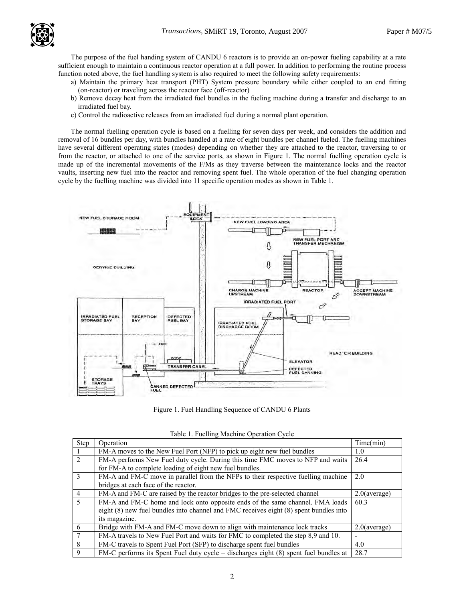

The purpose of the fuel handing system of CANDU 6 reactors is to provide an on-power fueling capability at a rate sufficient enough to maintain a continuous reactor operation at a full power. In addition to performing the routine process function noted above, the fuel handling system is also required to meet the following safety requirements:

- a) Maintain the primary heat transport (PHT) System pressure boundary while either coupled to an end fitting (on-reactor) or traveling across the reactor face (off-reactor)
- b) Remove decay heat from the irradiated fuel bundles in the fueling machine during a transfer and discharge to an irradiated fuel bay.
- c) Control the radioactive releases from an irradiated fuel during a normal plant operation.

The normal fuelling operation cycle is based on a fuelling for seven days per week, and considers the addition and removal of 16 bundles per day, with bundles handled at a rate of eight bundles per channel fueled. The fuelling machines have several different operating states (modes) depending on whether they are attached to the reactor, traversing to or from the reactor, or attached to one of the service ports, as shown in Figure 1. The normal fuelling operation cycle is made up of the incremental movements of the F/Ms as they traverse between the maintenance locks and the reactor vaults, inserting new fuel into the reactor and removing spent fuel. The whole operation of the fuel changing operation cycle by the fuelling machine was divided into 11 specific operation modes as shown in Table 1.



Figure 1. Fuel Handling Sequence of CANDU 6 Plants

| 1.401          |                                                                                       |                 |  |  |  |  |
|----------------|---------------------------------------------------------------------------------------|-----------------|--|--|--|--|
| <b>Step</b>    | Operation                                                                             | Time(min)       |  |  |  |  |
|                | FM-A moves to the New Fuel Port (NFP) to pick up eight new fuel bundles               | 1.0             |  |  |  |  |
| 2              | FM-A performs New Fuel duty cycle. During this time FMC moves to NFP and waits        | 26.4            |  |  |  |  |
|                | for FM-A to complete loading of eight new fuel bundles.                               |                 |  |  |  |  |
| $\mathcal{E}$  | FM-A and FM-C move in parallel from the NFPs to their respective fuelling machine     | 2.0             |  |  |  |  |
|                | bridges at each face of the reactor.                                                  |                 |  |  |  |  |
| $\overline{4}$ | FM-A and FM-C are raised by the reactor bridges to the pre-selected channel           | $2.0$ (average) |  |  |  |  |
| $\overline{5}$ | FM-A and FM-C home and lock onto opposite ends of the same channel. FMA loads         | 60.3            |  |  |  |  |
|                | eight (8) new fuel bundles into channel and FMC receives eight (8) spent bundles into |                 |  |  |  |  |
|                | its magazine.                                                                         |                 |  |  |  |  |
| 6              | Bridge with FM-A and FM-C move down to align with maintenance lock tracks             | $2.0$ (average) |  |  |  |  |
|                | FM-A travels to New Fuel Port and waits for FMC to completed the step 8,9 and 10.     |                 |  |  |  |  |
| 8              | FM-C travels to Spent Fuel Port (SFP) to discharge spent fuel bundles                 | 4.0             |  |  |  |  |
| 9              | FM-C performs its Spent Fuel duty cycle – discharges eight (8) spent fuel bundles at  | 28.7            |  |  |  |  |

Table 1. Fuelling Machine Operation Cycle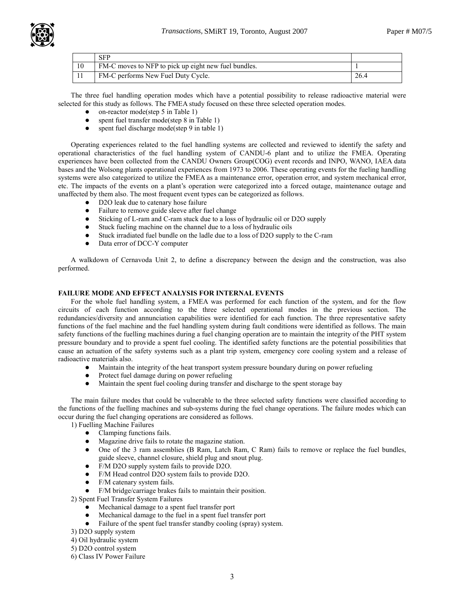

|    | <b>SFP</b>                                           |      |
|----|------------------------------------------------------|------|
| 10 | FM-C moves to NFP to pick up eight new fuel bundles. |      |
|    | FM-C performs New Fuel Duty Cycle.                   | 26.4 |

The three fuel handling operation modes which have a potential possibility to release radioactive material were selected for this study as follows. The FMEA study focused on these three selected operation modes.

- on-reactor mode(step 5 in Table 1)
- spent fuel transfer mode(step 8 in Table 1)
- spent fuel discharge mode(step 9 in table 1)

Operating experiences related to the fuel handling systems are collected and reviewed to identify the safety and operational characteristics of the fuel handling system of CANDU-6 plant and to utilize the FMEA. Operating experiences have been collected from the CANDU Owners Group(COG) event records and INPO, WANO, IAEA data bases and the Wolsong plants operational experiences from 1973 to 2006. These operating events for the fueling handling systems were also categorized to utilize the FMEA as a maintenance error, operation error, and system mechanical error, etc. The impacts of the events on a plant's operation were categorized into a forced outage, maintenance outage and unaffected by them also. The most frequent event types can be categorized as follows.

- D2O leak due to catenary hose failure
- Failure to remove guide sleeve after fuel change
- Sticking of L-ram and C-ram stuck due to a loss of hydraulic oil or D2O supply
- Stuck fueling machine on the channel due to a loss of hydraulic oils
- Stuck irradiated fuel bundle on the ladle due to a loss of D2O supply to the C-ram
- Data error of DCC-Y computer

A walkdown of Cernavoda Unit 2, to define a discrepancy between the design and the construction, was also performed.

# FAILURE MODE AND EFFECT ANALYSIS FOR INTERNAL EVENTS

For the whole fuel handling system, a FMEA was performed for each function of the system, and for the flow circuits of each function according to the three selected operational modes in the previous section. The redundancies/diversity and annunciation capabilities were identified for each function. The three representative safety functions of the fuel machine and the fuel handling system during fault conditions were identified as follows. The main safety functions of the fuelling machines during a fuel changing operation are to maintain the integrity of the PHT system pressure boundary and to provide a spent fuel cooling. The identified safety functions are the potential possibilities that cause an actuation of the safety systems such as a plant trip system, emergency core cooling system and a release of radioactive materials also.

- Maintain the integrity of the heat transport system pressure boundary during on power refueling
- Protect fuel damage during on power refueling
- Maintain the spent fuel cooling during transfer and discharge to the spent storage bay

The main failure modes that could be vulnerable to the three selected safety functions were classified according to the functions of the fuelling machines and sub-systems during the fuel change operations. The failure modes which can occur during the fuel changing operations are considered as follows.

- 1) Fuelling Machine Failures
	- Clamping functions fails.
	- Magazine drive fails to rotate the magazine station.
	- One of the 3 ram assemblies (B Ram, Latch Ram, C Ram) fails to remove or replace the fuel bundles, guide sleeve, channel closure, shield plug and snout plug.
	- F/M D2O supply system fails to provide D2O.<br>• F/M Head control D2O system fails to provide
	- F/M Head control D2O system fails to provide D2O.
	- F/M catenary system fails.

F/M bridge/carriage brakes fails to maintain their position.

2) Spent Fuel Transfer System Failures

- Mechanical damage to a spent fuel transfer port
- Mechanical damage to the fuel in a spent fuel transfer port
- Failure of the spent fuel transfer standby cooling (spray) system.
- 3) D2O supply system
- 4) Oil hydraulic system
- 5) D2O control system
- 6) Class IV Power Failure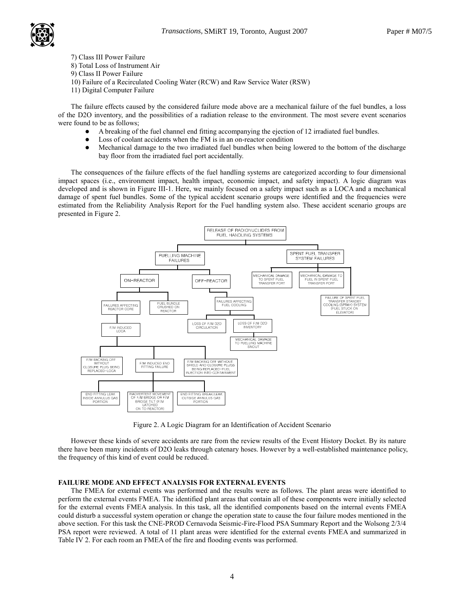

- 7) Class III Power Failure
- 8) Total Loss of Instrument Air
- 9) Class II Power Failure
- 10) Failure of a Recirculated Cooling Water (RCW) and Raw Service Water (RSW)
- 11) Digital Computer Failure

The failure effects caused by the considered failure mode above are a mechanical failure of the fuel bundles, a loss of the D2O inventory, and the possibilities of a radiation release to the environment. The most severe event scenarios were found to be as follows;

- A breaking of the fuel channel end fitting accompanying the ejection of 12 irradiated fuel bundles.
- Loss of coolant accidents when the FM is in an on-reactor condition
- Mechanical damage to the two irradiated fuel bundles when being lowered to the bottom of the discharge bay floor from the irradiated fuel port accidentally.

The consequences of the failure effects of the fuel handling systems are categorized according to four dimensional impact spaces (i.e., environment impact, health impact, economic impact, and safety impact). A logic diagram was developed and is shown in Figure III-1. Here, we mainly focused on a safety impact such as a LOCA and a mechanical damage of spent fuel bundles. Some of the typical accident scenario groups were identified and the frequencies were estimated from the Reliability Analysis Report for the Fuel handling system also. These accident scenario groups are presented in Figure 2.



Figure 2. A Logic Diagram for an Identification of Accident Scenario

However these kinds of severe accidents are rare from the review results of the Event History Docket. By its nature there have been many incidents of D2O leaks through catenary hoses. However by a well-established maintenance policy, the frequency of this kind of event could be reduced.

## FAILURE MODE AND EFFECT ANALYSIS FOR EXTERNAL EVENTS

The FMEA for external events was performed and the results were as follows. The plant areas were identified to perform the external events FMEA. The identified plant areas that contain all of these components were initially selected for the external events FMEA analysis. In this task, all the identified components based on the internal events FMEA could disturb a successful system operation or change the operation state to cause the four failure modes mentioned in the above section. For this task the CNE-PROD Cernavoda Seismic-Fire-Flood PSA Summary Report and the Wolsong 2/3/4 PSA report were reviewed. A total of 11 plant areas were identified for the external events FMEA and summarized in Table IV 2. For each room an FMEA of the fire and flooding events was performed.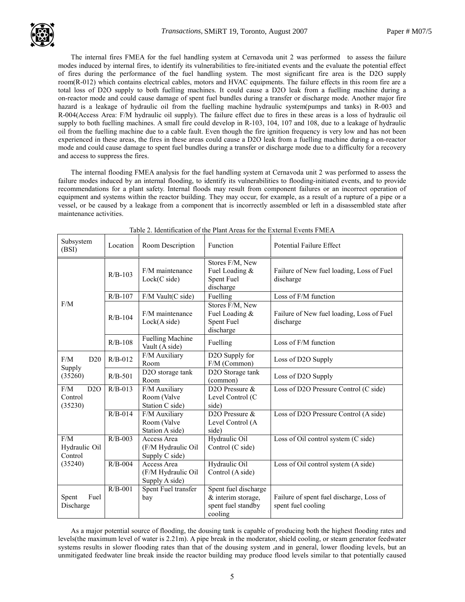

The internal fires FMEA for the fuel handling system at Cernavoda unit 2 was performed to assess the failure modes induced by internal fires, to identify its vulnerabilities to fire-initiated events and the evaluate the potential effect of fires during the performance of the fuel handling system. The most significant fire area is the D2O supply room(R-012) which contains electrical cables, motors and HVAC equipments. The failure effects in this room fire are a total loss of D2O supply to both fuelling machines. It could cause a D2O leak from a fuelling machine during a on-reactor mode and could cause damage of spent fuel bundles during a transfer or discharge mode. Another major fire hazard is a leakage of hydraulic oil from the fuelling machine hydraulic system(pumps and tanks) in R-003 and R-004(Access Area: F/M hydraulic oil supply). The failure effect due to fires in these areas is a loss of hydraulic oil supply to both fuelling machines. A small fire could develop in R-103, 104, 107 and 108, due to a leakage of hydraulic oil from the fuelling machine due to a cable fault. Even though the fire ignition frequency is very low and has not been experienced in these areas, the fires in these areas could cause a D2O leak from a fuelling machine during a on-reactor mode and could cause damage to spent fuel bundles during a transfer or discharge mode due to a difficulty for a recovery and access to suppress the fires.

The internal flooding FMEA analysis for the fuel handling system at Cernavoda unit 2 was performed to assess the failure modes induced by an internal flooding, to identify its vulnerabilities to flooding-initiated events, and to provide recommendations for a plant safety. Internal floods may result from component failures or an incorrect operation of equipment and systems within the reactor building. They may occur, for example, as a result of a rupture of a pipe or a vessel, or be caused by a leakage from a component that is incorrectly assembled or left in a disassembled state after maintenance activities.

| Subsystem<br>(BSI)               | Location  | Room Description                                    | Function                                                                    | <b>Potential Failure Effect</b>                                |
|----------------------------------|-----------|-----------------------------------------------------|-----------------------------------------------------------------------------|----------------------------------------------------------------|
|                                  | $R/B-103$ | F/M maintenance<br>Lock(C side)                     | Stores F/M, New<br>Fuel Loading &<br>Spent Fuel<br>discharge                | Failure of New fuel loading, Loss of Fuel<br>discharge         |
|                                  | $R/B-107$ | $F/M$ Vault(C side)                                 | Fuelling                                                                    | Loss of F/M function                                           |
| F/M                              | $R/B-104$ | F/M maintenance<br>Lock(A side)                     | Stores F/M, New<br>Fuel Loading &<br>Spent Fuel<br>discharge                | Failure of New fuel loading, Loss of Fuel<br>discharge         |
|                                  | $R/B-108$ | <b>Fuelling Machine</b><br>Vault (A side)           | Fuelling                                                                    | Loss of F/M function                                           |
| F/M<br>D20                       | $R/B-012$ | F/M Auxiliary<br>Room                               | D2O Supply for<br>F/M (Common)                                              | Loss of D2O Supply                                             |
| Supply<br>(35260)                | $R/B-501$ | D2O storage tank<br>Room                            | D2O Storage tank<br>(common)                                                | Loss of D2O Supply                                             |
| F/M<br>D2O<br>Control<br>(35230) | $R/B-013$ | F/M Auxiliary<br>Room (Valve<br>Station C side)     | D <sub>2</sub> O Pressure $\&$<br>Level Control (C<br>side)                 | Loss of D2O Pressure Control (C side)                          |
|                                  | $R/B-014$ | F/M Auxiliary<br>Room (Valve<br>Station A side)     | D <sub>20</sub> Pressure &<br>Level Control (A<br>side)                     | Loss of D2O Pressure Control (A side)                          |
| F/M<br>Hydraulic Oil<br>Control  | $R/B-003$ | Access Area<br>(F/M Hydraulic Oil<br>Supply C side) | Hydraulic Oil<br>Control (C side)                                           | Loss of Oil control system (C side)                            |
| (35240)                          | $R/B-004$ | Access Area<br>(F/M Hydraulic Oil<br>Supply A side) | Hydraulic Oil<br>Control (A side)                                           | Loss of Oil control system (A side)                            |
| Spent<br>Fuel<br>Discharge       | $R/B-001$ | Spent Fuel transfer<br>bay                          | Spent fuel discharge<br>& interim storage,<br>spent fuel standby<br>cooling | Failure of spent fuel discharge, Loss of<br>spent fuel cooling |

Table 2. Identification of the Plant Areas for the External Events FMEA

As a major potential source of flooding, the dousing tank is capable of producing both the highest flooding rates and levels(the maximum level of water is 2.21m). A pipe break in the moderator, shield cooling, or steam generator feedwater systems results in slower flooding rates than that of the dousing system ,and in general, lower flooding levels, but an unmitigated feedwater line break inside the reactor building may produce flood levels similar to that potentially caused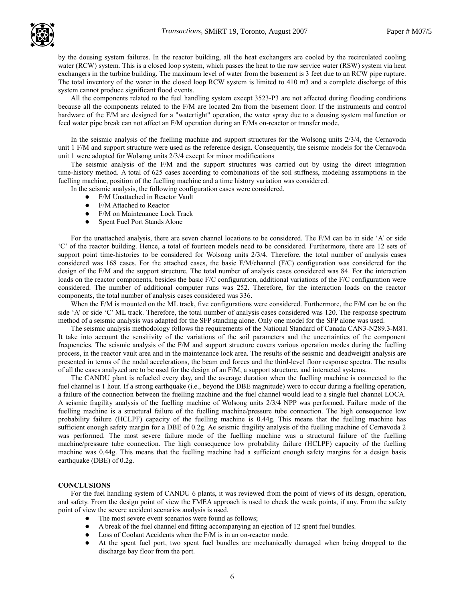by the dousing system failures. In the reactor building, all the heat exchangers are cooled by the recirculated cooling water (RCW) system. This is a closed loop system, which passes the heat to the raw service water (RSW) system via heat exchangers in the turbine building. The maximum level of water from the basement is 3 feet due to an RCW pipe rupture. The total inventory of the water in the closed loop RCW system is limited to 410 m3 and a complete discharge of this system cannot produce significant flood events.

All the components related to the fuel handling system except 3523-P3 are not affected during flooding conditions because all the components related to the F/M are located 2m from the basement floor. If the instruments and control hardware of the F/M are designed for a "watertight" operation, the water spray due to a dousing system malfunction or feed water pipe break can not affect an F/M operation during an F/Ms on-reactor or transfer mode.

In the seismic analysis of the fuelling machine and support structures for the Wolsong units 2/3/4, the Cernavoda unit 1 F/M and support structure were used as the reference design. Consequently, the seismic models for the Cernavoda unit 1 were adopted for Wolsong units 2/3/4 except for minor modifications

The seismic analysis of the F/M and the support structures was carried out by using the direct integration time-history method. A total of 625 cases according to combinations of the soil stiffness, modeling assumptions in the fuelling machine, position of the fuelling machine and a time history variation was considered.

In the seismic analysis, the following configuration cases were considered.

- F/M Unattached in Reactor Vault
- F/M Attached to Reactor
- F/M on Maintenance Lock Track
- Spent Fuel Port Stands Alone

For the unattached analysis, there are seven channel locations to be considered. The F/M can be in side 'A' or side 'C' of the reactor building. Hence, a total of fourteen models need to be considered. Furthermore, there are 12 sets of support point time-histories to be considered for Wolsong units 2/3/4. Therefore, the total number of analysis cases considered was 168 cases. For the attached cases, the basic F/M/channel (F/C) configuration was considered for the design of the F/M and the support structure. The total number of analysis cases considered was 84. For the interaction loads on the reactor components, besides the basic F/C configuration, additional variations of the F/C configuration were considered. The number of additional computer runs was 252. Therefore, for the interaction loads on the reactor components, the total number of analysis cases considered was 336.

When the F/M is mounted on the ML track, five configurations were considered. Furthermore, the F/M can be on the side 'A' or side 'C' ML track. Therefore, the total number of analysis cases considered was 120. The response spectrum method of a seismic analysis was adapted for the SFP standing alone. Only one model for the SFP alone was used.

The seismic analysis methodology follows the requirements of the National Standard of Canada CAN3-N289.3-M81. It take into account the sensitivity of the variations of the soil parameters and the uncertainties of the component frequencies. The seismic analysis of the F/M and support structure covers various operation modes during the fuelling process, in the reactor vault area and in the maintenance lock area. The results of the seismic and deadweight analysis are presented in terms of the nodal accelerations, the beam end forces and the third-level floor response spectra. The results of all the cases analyzed are to be used for the design of an F/M, a support structure, and interacted systems.

The CANDU plant is refueled every day, and the average duration when the fuelling machine is connected to the fuel channel is 1 hour. If a strong earthquake (i.e., beyond the DBE magnitude) were to occur during a fuelling operation, a failure of the connection between the fuelling machine and the fuel channel would lead to a single fuel channel LOCA. A seismic fragility analysis of the fuelling machine of Wolsong units 2/3/4 NPP was performed. Failure mode of the fuelling machine is a structural failure of the fuelling machine/pressure tube connection. The high consequence low probability failure (HCLPF) capacity of the fuelling machine is 0.44g. This means that the fuelling machine has sufficient enough safety margin for a DBE of 0.2g. Ae seismic fragility analysis of the fuelling machine of Cernavoda 2 was performed. The most severe failure mode of the fuelling machine was a structural failure of the fuelling machine/pressure tube connection. The high consequence low probability failure (HCLPF) capacity of the fuelling machine was 0.44g. This means that the fuelling machine had a sufficient enough safety margins for a design basis earthquake (DBE) of 0.2g.

## **CONCLUSIONS**

For the fuel handling system of CANDU 6 plants, it was reviewed from the point of views of its design, operation, and safety. From the design point of view the FMEA approach is used to check the weak points, if any. From the safety point of view the severe accident scenarios analysis is used.

- The most severe event scenarios were found as follows;
- A break of the fuel channel end fitting accompanying an ejection of 12 spent fuel bundles.
- Loss of Coolant Accidents when the F/M is in an on-reactor mode.
- At the spent fuel port, two spent fuel bundles are mechanically damaged when being dropped to the discharge bay floor from the port.